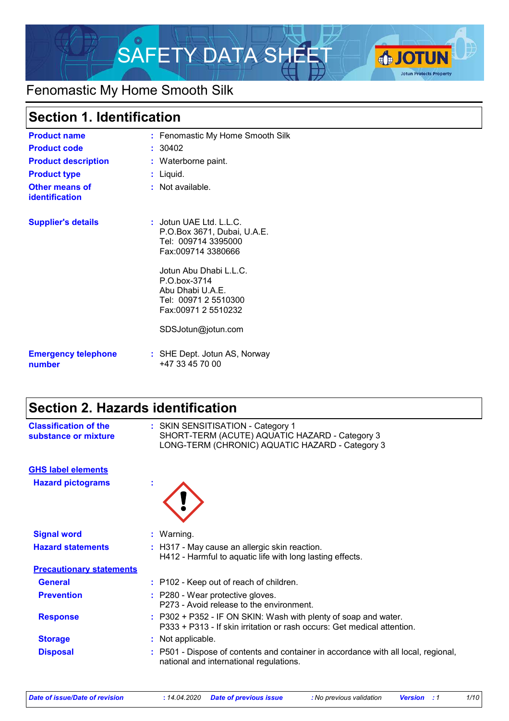

## Fenomastic My Home Smooth Silk

### **Section 1. Identification**

| <b>Product name</b>                            | : Fenomastic My Home Smooth Silk                                                                                                                                                                                   |
|------------------------------------------------|--------------------------------------------------------------------------------------------------------------------------------------------------------------------------------------------------------------------|
| <b>Product code</b>                            | : 30402                                                                                                                                                                                                            |
| <b>Product description</b>                     | : Waterborne paint.                                                                                                                                                                                                |
| <b>Product type</b>                            | : Liquid.                                                                                                                                                                                                          |
| <b>Other means of</b><br><b>identification</b> | $:$ Not available.                                                                                                                                                                                                 |
| <b>Supplier's details</b>                      | $:$ Jotun UAE Ltd. L.L.C.<br>P.O.Box 3671, Dubai, U.A.E.<br>Tel: 009714 3395000<br>Fax:009714 3380666<br>Jotun Abu Dhabi L.L.C.<br>P.O.box-3714<br>Abu Dhabi U.A.E.<br>Tel: 00971 2 5510300<br>Fax:00971 2 5510232 |
|                                                | SDSJotun@jotun.com                                                                                                                                                                                                 |
| <b>Emergency telephone</b><br>number           | : SHE Dept. Jotun AS, Norway<br>+47 33 45 70 00                                                                                                                                                                    |

### **Section 2. Hazards identification**

| <b>Classification of the</b><br>substance or mixture | : SKIN SENSITISATION - Category 1<br>SHORT-TERM (ACUTE) AQUATIC HAZARD - Category 3<br>LONG-TERM (CHRONIC) AQUATIC HAZARD - Category 3     |
|------------------------------------------------------|--------------------------------------------------------------------------------------------------------------------------------------------|
| <b>GHS label elements</b>                            |                                                                                                                                            |
| <b>Hazard pictograms</b>                             |                                                                                                                                            |
| <b>Signal word</b>                                   | : Warning.                                                                                                                                 |
| <b>Hazard statements</b>                             | : H317 - May cause an allergic skin reaction.<br>H412 - Harmful to aquatic life with long lasting effects.                                 |
| <b>Precautionary statements</b>                      |                                                                                                                                            |
| <b>General</b>                                       | : P102 - Keep out of reach of children.                                                                                                    |
| <b>Prevention</b>                                    | : P280 - Wear protective gloves.<br>P273 - Avoid release to the environment.                                                               |
| <b>Response</b>                                      | : P302 + P352 - IF ON SKIN: Wash with plenty of soap and water.<br>P333 + P313 - If skin irritation or rash occurs: Get medical attention. |
| <b>Storage</b>                                       | : Not applicable.                                                                                                                          |
| <b>Disposal</b>                                      | P501 - Dispose of contents and container in accordance with all local, regional,<br>national and international regulations.                |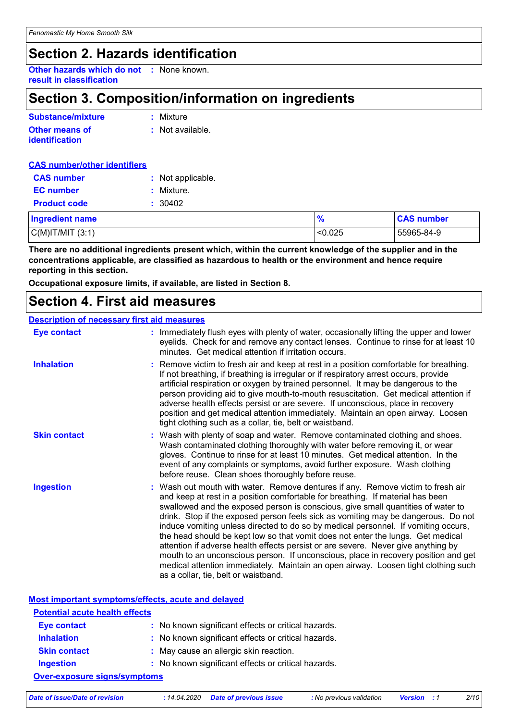### **Section 2. Hazards identification**

**Other hazards which do not :** None known. **result in classification**

### **Section 3. Composition/information on ingredients**

| Substance/mixture                       | : Mixture        |
|-----------------------------------------|------------------|
| <b>Other means of</b><br>identification | : Not available. |

| <b>CAS number/other identifiers</b> |                   |               |                   |
|-------------------------------------|-------------------|---------------|-------------------|
| <b>CAS number</b>                   | : Not applicable. |               |                   |
| <b>EC</b> number                    | Mixture.          |               |                   |
| <b>Product code</b>                 | : 30402           |               |                   |
| <b>Ingredient name</b>              |                   | $\frac{9}{6}$ | <b>CAS number</b> |
| $C(M)$ IT/MIT $(3:1)$               |                   | < 0.025       | 55965-84-9        |

**There are no additional ingredients present which, within the current knowledge of the supplier and in the concentrations applicable, are classified as hazardous to health or the environment and hence require reporting in this section.**

**Occupational exposure limits, if available, are listed in Section 8.**

### **Section 4. First aid measures**

#### **Description of necessary first aid measures**

| <b>Eye contact</b>  | : Immediately flush eyes with plenty of water, occasionally lifting the upper and lower<br>eyelids. Check for and remove any contact lenses. Continue to rinse for at least 10<br>minutes. Get medical attention if irritation occurs.                                                                                                                                                                                                                                                                                                                                                                                                                                                                                                                                                                                       |  |
|---------------------|------------------------------------------------------------------------------------------------------------------------------------------------------------------------------------------------------------------------------------------------------------------------------------------------------------------------------------------------------------------------------------------------------------------------------------------------------------------------------------------------------------------------------------------------------------------------------------------------------------------------------------------------------------------------------------------------------------------------------------------------------------------------------------------------------------------------------|--|
| <b>Inhalation</b>   | : Remove victim to fresh air and keep at rest in a position comfortable for breathing.<br>If not breathing, if breathing is irregular or if respiratory arrest occurs, provide<br>artificial respiration or oxygen by trained personnel. It may be dangerous to the<br>person providing aid to give mouth-to-mouth resuscitation. Get medical attention if<br>adverse health effects persist or are severe. If unconscious, place in recovery<br>position and get medical attention immediately. Maintain an open airway. Loosen<br>tight clothing such as a collar, tie, belt or waistband.                                                                                                                                                                                                                                 |  |
| <b>Skin contact</b> | : Wash with plenty of soap and water. Remove contaminated clothing and shoes.<br>Wash contaminated clothing thoroughly with water before removing it, or wear<br>gloves. Continue to rinse for at least 10 minutes. Get medical attention. In the<br>event of any complaints or symptoms, avoid further exposure. Wash clothing<br>before reuse. Clean shoes thoroughly before reuse.                                                                                                                                                                                                                                                                                                                                                                                                                                        |  |
| <b>Ingestion</b>    | : Wash out mouth with water. Remove dentures if any. Remove victim to fresh air<br>and keep at rest in a position comfortable for breathing. If material has been<br>swallowed and the exposed person is conscious, give small quantities of water to<br>drink. Stop if the exposed person feels sick as vomiting may be dangerous. Do not<br>induce vomiting unless directed to do so by medical personnel. If vomiting occurs,<br>the head should be kept low so that vomit does not enter the lungs. Get medical<br>attention if adverse health effects persist or are severe. Never give anything by<br>mouth to an unconscious person. If unconscious, place in recovery position and get<br>medical attention immediately. Maintain an open airway. Loosen tight clothing such<br>as a collar, tie, belt or waistband. |  |

#### **Most important symptoms/effects, acute and delayed**

| <b>Potential acute health effects</b> |                                                     |  |
|---------------------------------------|-----------------------------------------------------|--|
| <b>Eye contact</b>                    | : No known significant effects or critical hazards. |  |
| <b>Inhalation</b>                     | : No known significant effects or critical hazards. |  |
| <b>Skin contact</b>                   | : May cause an allergic skin reaction.              |  |
| <b>Ingestion</b>                      | : No known significant effects or critical hazards. |  |
| <b>Over-exposure signs/symptoms</b>   |                                                     |  |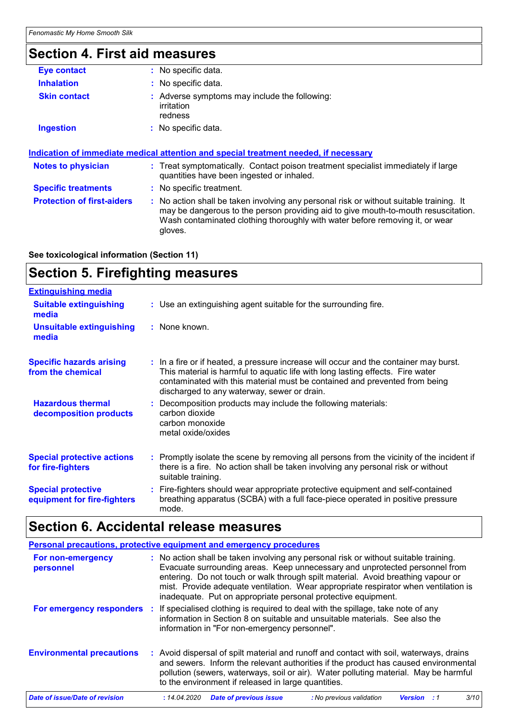## **Section 4. First aid measures**

| Eye contact                | : No specific data.                                                                                                                                                                                                    |
|----------------------------|------------------------------------------------------------------------------------------------------------------------------------------------------------------------------------------------------------------------|
| <b>Inhalation</b>          | : No specific data.                                                                                                                                                                                                    |
| <b>Skin contact</b>        | : Adverse symptoms may include the following:<br>irritation<br>redness                                                                                                                                                 |
| <b>Ingestion</b>           | : No specific data.                                                                                                                                                                                                    |
| <b>Notes to physician</b>  | Indication of immediate medical attention and special treatment needed, if necessary<br>: Treat symptomatically. Contact poison treatment specialist immediately if large<br>quantities have been ingested or inhaled. |
|                            |                                                                                                                                                                                                                        |
| <b>Specific treatments</b> | : No specific treatment.                                                                                                                                                                                               |

**See toxicological information (Section 11)**

### **Section 5. Firefighting measures**

| <b>Extinguishing media</b>                               |                                                                                                                                                                                                                                                                                                      |
|----------------------------------------------------------|------------------------------------------------------------------------------------------------------------------------------------------------------------------------------------------------------------------------------------------------------------------------------------------------------|
| <b>Suitable extinguishing</b><br>media                   | : Use an extinguishing agent suitable for the surrounding fire.                                                                                                                                                                                                                                      |
| <b>Unsuitable extinguishing</b><br>media                 | : None known.                                                                                                                                                                                                                                                                                        |
| <b>Specific hazards arising</b><br>from the chemical     | : In a fire or if heated, a pressure increase will occur and the container may burst.<br>This material is harmful to aquatic life with long lasting effects. Fire water<br>contaminated with this material must be contained and prevented from being<br>discharged to any waterway, sewer or drain. |
| <b>Hazardous thermal</b><br>decomposition products       | : Decomposition products may include the following materials:<br>carbon dioxide<br>carbon monoxide<br>metal oxide/oxides                                                                                                                                                                             |
| <b>Special protective actions</b><br>for fire-fighters   | : Promptly isolate the scene by removing all persons from the vicinity of the incident if<br>there is a fire. No action shall be taken involving any personal risk or without<br>suitable training.                                                                                                  |
| <b>Special protective</b><br>equipment for fire-fighters | : Fire-fighters should wear appropriate protective equipment and self-contained<br>breathing apparatus (SCBA) with a full face-piece operated in positive pressure<br>mode.                                                                                                                          |

# **Section 6. Accidental release measures**

|                                  | Personal precautions, protective equipment and emergency procedures                                                                                                                                                                                                                                                                                                                                             |
|----------------------------------|-----------------------------------------------------------------------------------------------------------------------------------------------------------------------------------------------------------------------------------------------------------------------------------------------------------------------------------------------------------------------------------------------------------------|
| For non-emergency<br>personnel   | : No action shall be taken involving any personal risk or without suitable training.<br>Evacuate surrounding areas. Keep unnecessary and unprotected personnel from<br>entering. Do not touch or walk through spilt material. Avoid breathing vapour or<br>mist. Provide adequate ventilation. Wear appropriate respirator when ventilation is<br>inadequate. Put on appropriate personal protective equipment. |
|                                  | For emergency responders : If specialised clothing is required to deal with the spillage, take note of any<br>information in Section 8 on suitable and unsuitable materials. See also the<br>information in "For non-emergency personnel".                                                                                                                                                                      |
| <b>Environmental precautions</b> | : Avoid dispersal of spilt material and runoff and contact with soil, waterways, drains<br>and sewers. Inform the relevant authorities if the product has caused environmental<br>pollution (sewers, waterways, soil or air). Water polluting material. May be harmful<br>to the environment if released in large quantities.                                                                                   |
| Date of issue/Date of revision   | <b>Date of previous issue</b><br>3/10<br>: No previous validation<br>: 14.04.2020<br><b>Version</b>                                                                                                                                                                                                                                                                                                             |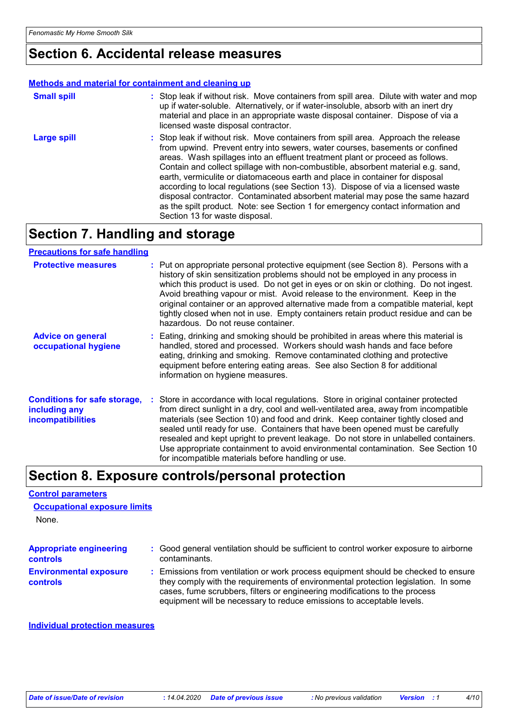### **Section 6. Accidental release measures**

#### **Methods and material for containment and cleaning up**

| <b>Small spill</b> | : Stop leak if without risk. Move containers from spill area. Dilute with water and mop<br>up if water-soluble. Alternatively, or if water-insoluble, absorb with an inert dry<br>material and place in an appropriate waste disposal container. Dispose of via a<br>licensed waste disposal contractor.                                                                                                                                                                                                                                                                                                                                                                                                          |
|--------------------|-------------------------------------------------------------------------------------------------------------------------------------------------------------------------------------------------------------------------------------------------------------------------------------------------------------------------------------------------------------------------------------------------------------------------------------------------------------------------------------------------------------------------------------------------------------------------------------------------------------------------------------------------------------------------------------------------------------------|
| <b>Large spill</b> | : Stop leak if without risk. Move containers from spill area. Approach the release<br>from upwind. Prevent entry into sewers, water courses, basements or confined<br>areas. Wash spillages into an effluent treatment plant or proceed as follows.<br>Contain and collect spillage with non-combustible, absorbent material e.g. sand,<br>earth, vermiculite or diatomaceous earth and place in container for disposal<br>according to local regulations (see Section 13). Dispose of via a licensed waste<br>disposal contractor. Contaminated absorbent material may pose the same hazard<br>as the spilt product. Note: see Section 1 for emergency contact information and<br>Section 13 for waste disposal. |

### **Section 7. Handling and storage**

#### **Precautions for safe handling**

| <b>Protective measures</b>                                                | : Put on appropriate personal protective equipment (see Section 8). Persons with a<br>history of skin sensitization problems should not be employed in any process in<br>which this product is used. Do not get in eyes or on skin or clothing. Do not ingest.<br>Avoid breathing vapour or mist. Avoid release to the environment. Keep in the<br>original container or an approved alternative made from a compatible material, kept<br>tightly closed when not in use. Empty containers retain product residue and can be<br>hazardous. Do not reuse container.                  |
|---------------------------------------------------------------------------|-------------------------------------------------------------------------------------------------------------------------------------------------------------------------------------------------------------------------------------------------------------------------------------------------------------------------------------------------------------------------------------------------------------------------------------------------------------------------------------------------------------------------------------------------------------------------------------|
| <b>Advice on general</b><br>occupational hygiene                          | : Eating, drinking and smoking should be prohibited in areas where this material is<br>handled, stored and processed. Workers should wash hands and face before<br>eating, drinking and smoking. Remove contaminated clothing and protective<br>equipment before entering eating areas. See also Section 8 for additional<br>information on hygiene measures.                                                                                                                                                                                                                       |
| <b>Conditions for safe storage,</b><br>including any<br>incompatibilities | : Store in accordance with local regulations. Store in original container protected<br>from direct sunlight in a dry, cool and well-ventilated area, away from incompatible<br>materials (see Section 10) and food and drink. Keep container tightly closed and<br>sealed until ready for use. Containers that have been opened must be carefully<br>resealed and kept upright to prevent leakage. Do not store in unlabelled containers.<br>Use appropriate containment to avoid environmental contamination. See Section 10<br>for incompatible materials before handling or use. |

### **Section 8. Exposure controls/personal protection**

#### **Control parameters**

None. **Occupational exposure limits**

| <b>Appropriate engineering</b>                   | : Good general ventilation should be sufficient to control worker exposure to airborne                                                                                                                                                                                                                                          |
|--------------------------------------------------|---------------------------------------------------------------------------------------------------------------------------------------------------------------------------------------------------------------------------------------------------------------------------------------------------------------------------------|
| <b>controls</b>                                  | contaminants.                                                                                                                                                                                                                                                                                                                   |
| <b>Environmental exposure</b><br><b>controls</b> | : Emissions from ventilation or work process equipment should be checked to ensure<br>they comply with the requirements of environmental protection legislation. In some<br>cases, fume scrubbers, filters or engineering modifications to the process<br>equipment will be necessary to reduce emissions to acceptable levels. |

#### **Individual protection measures**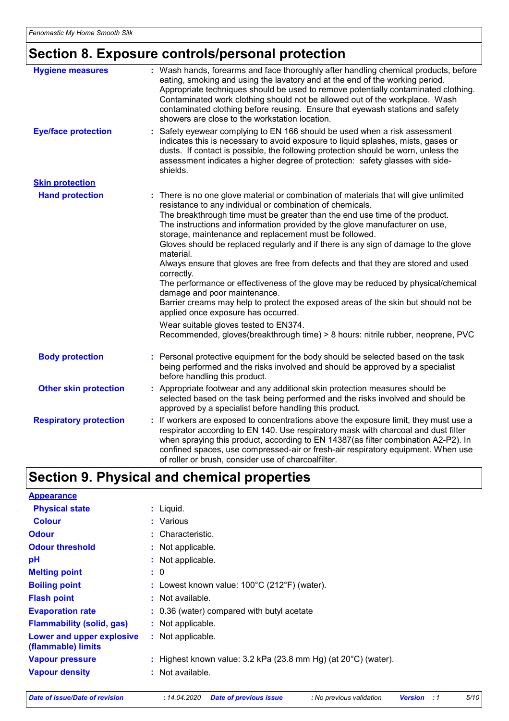# **Section 8. Exposure controls/personal protection**

| <b>Hygiene measures</b>       | : Wash hands, forearms and face thoroughly after handling chemical products, before<br>eating, smoking and using the lavatory and at the end of the working period.<br>Appropriate techniques should be used to remove potentially contaminated clothing.<br>Contaminated work clothing should not be allowed out of the workplace. Wash<br>contaminated clothing before reusing. Ensure that eyewash stations and safety<br>showers are close to the workstation location.                                                                                                                                                                                                                                                                                                                                                                                                                                                                                     |
|-------------------------------|-----------------------------------------------------------------------------------------------------------------------------------------------------------------------------------------------------------------------------------------------------------------------------------------------------------------------------------------------------------------------------------------------------------------------------------------------------------------------------------------------------------------------------------------------------------------------------------------------------------------------------------------------------------------------------------------------------------------------------------------------------------------------------------------------------------------------------------------------------------------------------------------------------------------------------------------------------------------|
| <b>Eye/face protection</b>    | Safety eyewear complying to EN 166 should be used when a risk assessment<br>indicates this is necessary to avoid exposure to liquid splashes, mists, gases or<br>dusts. If contact is possible, the following protection should be worn, unless the<br>assessment indicates a higher degree of protection: safety glasses with side-<br>shields.                                                                                                                                                                                                                                                                                                                                                                                                                                                                                                                                                                                                                |
| <b>Skin protection</b>        |                                                                                                                                                                                                                                                                                                                                                                                                                                                                                                                                                                                                                                                                                                                                                                                                                                                                                                                                                                 |
| <b>Hand protection</b>        | : There is no one glove material or combination of materials that will give unlimited<br>resistance to any individual or combination of chemicals.<br>The breakthrough time must be greater than the end use time of the product.<br>The instructions and information provided by the glove manufacturer on use,<br>storage, maintenance and replacement must be followed.<br>Gloves should be replaced regularly and if there is any sign of damage to the glove<br>material.<br>Always ensure that gloves are free from defects and that they are stored and used<br>correctly.<br>The performance or effectiveness of the glove may be reduced by physical/chemical<br>damage and poor maintenance.<br>Barrier creams may help to protect the exposed areas of the skin but should not be<br>applied once exposure has occurred.<br>Wear suitable gloves tested to EN374.<br>Recommended, gloves(breakthrough time) > 8 hours: nitrile rubber, neoprene, PVC |
| <b>Body protection</b>        | Personal protective equipment for the body should be selected based on the task<br>being performed and the risks involved and should be approved by a specialist<br>before handling this product.                                                                                                                                                                                                                                                                                                                                                                                                                                                                                                                                                                                                                                                                                                                                                               |
| <b>Other skin protection</b>  | : Appropriate footwear and any additional skin protection measures should be<br>selected based on the task being performed and the risks involved and should be<br>approved by a specialist before handling this product.                                                                                                                                                                                                                                                                                                                                                                                                                                                                                                                                                                                                                                                                                                                                       |
| <b>Respiratory protection</b> | : If workers are exposed to concentrations above the exposure limit, they must use a<br>respirator according to EN 140. Use respiratory mask with charcoal and dust filter<br>when spraying this product, according to EN 14387(as filter combination A2-P2). In<br>confined spaces, use compressed-air or fresh-air respiratory equipment. When use<br>of roller or brush, consider use of charcoalfilter.                                                                                                                                                                                                                                                                                                                                                                                                                                                                                                                                                     |

# **Section 9. Physical and chemical properties**

| <b>Appearance</b>                               |                                                                            |
|-------------------------------------------------|----------------------------------------------------------------------------|
| <b>Physical state</b>                           | $:$ Liquid.                                                                |
| <b>Colour</b>                                   | : Various                                                                  |
| <b>Odour</b>                                    | : Characteristic.                                                          |
| <b>Odour threshold</b>                          | : Not applicable.                                                          |
| рH                                              | : Not applicable.                                                          |
| <b>Melting point</b>                            | : 0                                                                        |
| <b>Boiling point</b>                            | : Lowest known value: $100^{\circ}$ C (212 $^{\circ}$ F) (water).          |
| <b>Flash point</b>                              | : Not available.                                                           |
| <b>Evaporation rate</b>                         | : 0.36 (water) compared with butyl acetate                                 |
| <b>Flammability (solid, gas)</b>                | : Not applicable.                                                          |
| Lower and upper explosive<br>(flammable) limits | : Not applicable.                                                          |
| <b>Vapour pressure</b>                          | : Highest known value: $3.2$ kPa (23.8 mm Hg) (at $20^{\circ}$ C) (water). |
| <b>Vapour density</b>                           | : Not available.                                                           |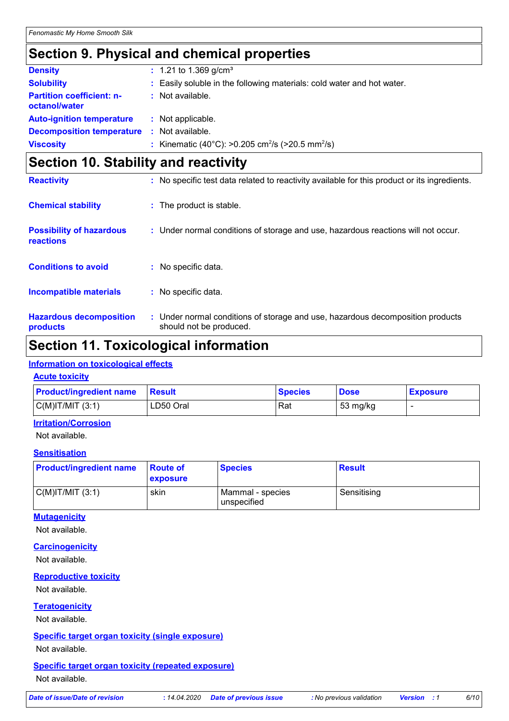### **Section 9. Physical and chemical properties**

| <b>Density</b>                                    | $: 1.21$ to 1.369 g/cm <sup>3</sup>                                      |
|---------------------------------------------------|--------------------------------------------------------------------------|
| <b>Solubility</b>                                 | : Easily soluble in the following materials: cold water and hot water.   |
| <b>Partition coefficient: n-</b><br>octanol/water | : Not available.                                                         |
| <b>Auto-ignition temperature</b>                  | : Not applicable.                                                        |
| <b>Decomposition temperature</b>                  | : Not available.                                                         |
| <b>Viscosity</b>                                  | : Kinematic (40°C): >0.205 cm <sup>2</sup> /s (>20.5 mm <sup>2</sup> /s) |

### **Section 10. Stability and reactivity**

| <b>Reactivity</b>                            | : No specific test data related to reactivity available for this product or its ingredients.              |
|----------------------------------------------|-----------------------------------------------------------------------------------------------------------|
| <b>Chemical stability</b>                    | : The product is stable.                                                                                  |
| <b>Possibility of hazardous</b><br>reactions | : Under normal conditions of storage and use, hazardous reactions will not occur.                         |
| <b>Conditions to avoid</b>                   | : No specific data.                                                                                       |
| <b>Incompatible materials</b>                | : No specific data.                                                                                       |
| <b>Hazardous decomposition</b><br>products   | : Under normal conditions of storage and use, hazardous decomposition products<br>should not be produced. |

### **Section 11. Toxicological information**

#### **Information on toxicological effects**

#### **Acute toxicity**

| <b>Product/ingredient name</b> | Result    | <b>Species</b> | <b>Dose</b> | <b>Exposure</b> |
|--------------------------------|-----------|----------------|-------------|-----------------|
| $C(M)$ IT/MIT $(3:1)$          | LD50 Oral | Rat            | 53 mg/kg    |                 |

#### **Irritation/Corrosion**

Not available.

#### **Sensitisation**

| <b>Product/ingredient name</b> | <b>Route of</b><br>exposure | <b>Species</b>                  | <b>Result</b> |
|--------------------------------|-----------------------------|---------------------------------|---------------|
| $C(M)$ IT/MIT $(3:1)$          | skin                        | Mammal - species<br>unspecified | Sensitising   |

#### **Mutagenicity**

Not available.

#### **Carcinogenicity**

Not available.

#### **Reproductive toxicity**

Not available.

#### **Teratogenicity**

Not available.

#### **Specific target organ toxicity (single exposure)**

Not available.

### **Specific target organ toxicity (repeated exposure)**

Not available.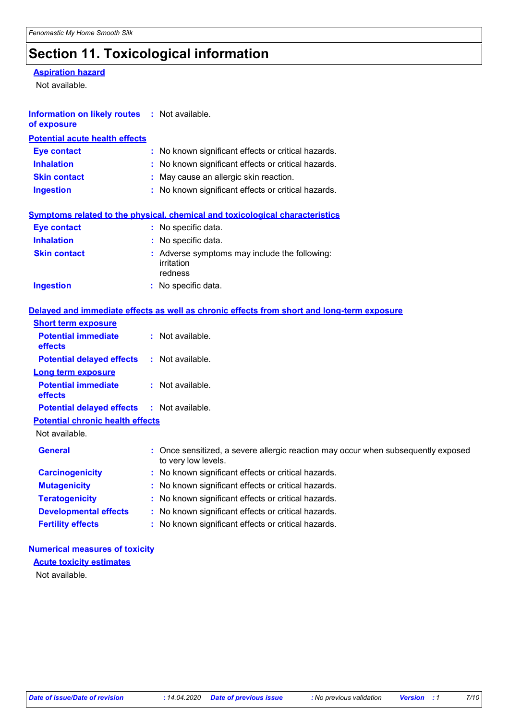# **Section 11. Toxicological information**

#### **Aspiration hazard**

Not available.

| Information on likely routes : Not available.<br>of exposure |                                                                                                          |
|--------------------------------------------------------------|----------------------------------------------------------------------------------------------------------|
| <b>Potential acute health effects</b>                        |                                                                                                          |
| <b>Eye contact</b>                                           | : No known significant effects or critical hazards.                                                      |
| <b>Inhalation</b>                                            | : No known significant effects or critical hazards.                                                      |
| <b>Skin contact</b>                                          | May cause an allergic skin reaction.                                                                     |
| <b>Ingestion</b>                                             | : No known significant effects or critical hazards.                                                      |
|                                                              | Symptoms related to the physical, chemical and toxicological characteristics                             |
| <b>Eye contact</b>                                           | : No specific data.                                                                                      |
| <b>Inhalation</b>                                            | : No specific data.                                                                                      |
| <b>Skin contact</b>                                          | : Adverse symptoms may include the following:<br>irritation<br>redness                                   |
| <b>Ingestion</b>                                             | : No specific data.                                                                                      |
|                                                              | Delayed and immediate effects as well as chronic effects from short and long-term exposure               |
| <b>Short term exposure</b>                                   |                                                                                                          |
| <b>Potential immediate</b><br>effects                        | : Not available.                                                                                         |
| <b>Potential delayed effects</b>                             | : Not available.                                                                                         |
| <b>Long term exposure</b>                                    |                                                                                                          |
| <b>Potential immediate</b><br>effects                        | $:$ Not available.                                                                                       |
| <b>Potential delayed effects</b>                             | $:$ Not available.                                                                                       |
| <b>Potential chronic health effects</b>                      |                                                                                                          |
| Not available.                                               |                                                                                                          |
| <b>General</b>                                               | : Once sensitized, a severe allergic reaction may occur when subsequently exposed<br>to very low levels. |
| <b>Carcinogenicity</b>                                       | : No known significant effects or critical hazards.                                                      |
| <b>Mutagenicity</b>                                          | : No known significant effects or critical hazards.                                                      |
| <b>Teratogenicity</b>                                        | : No known significant effects or critical hazards.                                                      |
| <b>Developmental effects</b>                                 | No known significant effects or critical hazards.                                                        |
| <b>Fertility effects</b>                                     | No known significant effects or critical hazards.                                                        |

#### **Numerical measures of toxicity**

**Acute toxicity estimates**

Not available.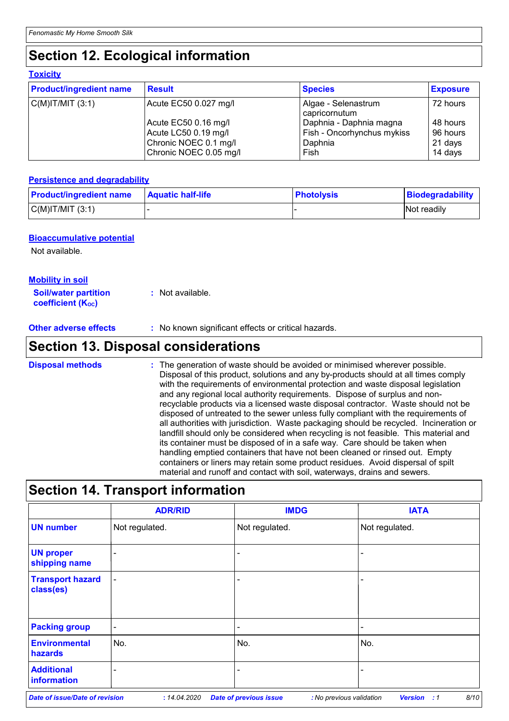### **Section 12. Ecological information**

| <b>Product/ingredient name</b> | <b>Result</b>          | <b>Species</b>                       | <b>Exposure</b><br>72 hours |  |
|--------------------------------|------------------------|--------------------------------------|-----------------------------|--|
| $C(M)$ IT/MIT $(3:1)$          | Acute EC50 0.027 mg/l  | Algae - Selenastrum<br>capricornutum |                             |  |
|                                | Acute EC50 0.16 mg/l   | Daphnia - Daphnia magna              | 48 hours                    |  |
|                                | Acute LC50 0.19 mg/l   | Fish - Oncorhynchus mykiss           | 96 hours                    |  |
|                                | Chronic NOEC 0.1 mg/l  | Daphnia                              | 21 days                     |  |
|                                | Chronic NOEC 0.05 mg/l | Fish                                 | 14 days                     |  |

#### **Persistence and degradability**

| <b>Product/ingredient name</b> | <b>Aquatic half-life</b> | <b>Photolysis</b> | Biodegradability |
|--------------------------------|--------------------------|-------------------|------------------|
| $C(M)$ IT/MIT $(3:1)$          |                          |                   | Not readily      |

#### **Bioaccumulative potential**

Not available.

#### **Mobility in soil**

| <b>Soil/water partition</b> | : Not available. |
|-----------------------------|------------------|
| <b>coefficient (Koc)</b>    |                  |

**Other adverse effects** : No known significant effects or critical hazards.

### **Section 13. Disposal considerations**

The generation of waste should be avoided or minimised wherever possible. Disposal of this product, solutions and any by-products should at all times comply with the requirements of environmental protection and waste disposal legislation and any regional local authority requirements. Dispose of surplus and nonrecyclable products via a licensed waste disposal contractor. Waste should not be disposed of untreated to the sewer unless fully compliant with the requirements of all authorities with jurisdiction. Waste packaging should be recycled. Incineration or landfill should only be considered when recycling is not feasible. This material and its container must be disposed of in a safe way. Care should be taken when handling emptied containers that have not been cleaned or rinsed out. Empty containers or liners may retain some product residues. Avoid dispersal of spilt material and runoff and contact with soil, waterways, drains and sewers. **Disposal methods :**

### **Section 14. Transport information**

|                                      | <b>ADR/RID</b>           | <b>IMDG</b>    | <b>IATA</b>              |
|--------------------------------------|--------------------------|----------------|--------------------------|
| <b>UN number</b>                     | Not regulated.           | Not regulated. | Not regulated.           |
| <b>UN proper</b><br>shipping name    | $\overline{\phantom{0}}$ | -              | $\overline{\phantom{0}}$ |
| <b>Transport hazard</b><br>class(es) | $\blacksquare$           | -              | $\overline{\phantom{0}}$ |
| <b>Packing group</b>                 | $\blacksquare$           |                | $\overline{\phantom{a}}$ |
| <b>Environmental</b><br>hazards      | No.                      | No.            | No.                      |
| <b>Additional</b><br>information     | $\overline{\phantom{0}}$ | -              | ۰                        |

*Date of issue/Date of revision* **:** *14.04.2020 Date of previous issue : No previous validation Version : 1 8/10*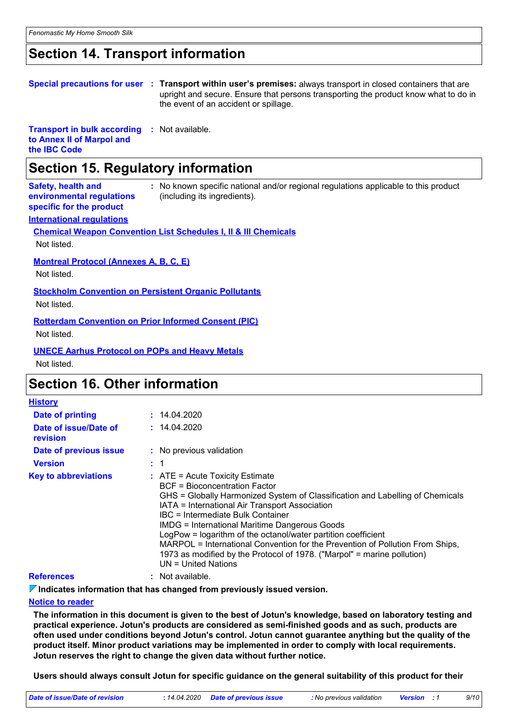### **Section 14. Transport information**

|  | Special precautions for user : Transport within user's premises: always transport in closed containers that are |
|--|-----------------------------------------------------------------------------------------------------------------|
|  | upright and secure. Ensure that persons transporting the product know what to do in                             |
|  | the event of an accident or spillage.                                                                           |

**Transport in bulk according :** Not available. **to Annex II of Marpol and the IBC Code**

### **Section 15. Regulatory information**

| <b>Safety, health and</b><br>environmental regulations<br>specific for the product | : No known specific national and/or regional regulations applicable to this product<br>(including its ingredients). |
|------------------------------------------------------------------------------------|---------------------------------------------------------------------------------------------------------------------|
| <b>International regulations</b>                                                   |                                                                                                                     |
|                                                                                    | <b>Chemical Weapon Convention List Schedules I, II &amp; III Chemicals</b>                                          |
| Not listed.                                                                        |                                                                                                                     |
| <b>Montreal Protocol (Annexes A, B, C, E)</b><br>Not listed.                       |                                                                                                                     |
| <b>Stockholm Convention on Persistent Organic Pollutants</b>                       |                                                                                                                     |
| Not listed.                                                                        |                                                                                                                     |
| <b>Rotterdam Convention on Prior Informed Consent (PIC)</b>                        |                                                                                                                     |
| Not listed.                                                                        |                                                                                                                     |
|                                                                                    |                                                                                                                     |
| <b>UNECE Aarhus Protocol on POPs and Heavy Metals</b>                              |                                                                                                                     |

Not listed.

### **Section 16. Other information**

| <b>History</b>                    |                                                                                                                                                                                                                                                                                                                                                                                                                                                                                                                                                                 |
|-----------------------------------|-----------------------------------------------------------------------------------------------------------------------------------------------------------------------------------------------------------------------------------------------------------------------------------------------------------------------------------------------------------------------------------------------------------------------------------------------------------------------------------------------------------------------------------------------------------------|
| Date of printing                  | : 14.04.2020                                                                                                                                                                                                                                                                                                                                                                                                                                                                                                                                                    |
| Date of issue/Date of<br>revision | : 14.04.2020                                                                                                                                                                                                                                                                                                                                                                                                                                                                                                                                                    |
| Date of previous issue            | : No previous validation                                                                                                                                                                                                                                                                                                                                                                                                                                                                                                                                        |
| <b>Version</b>                    | $\div$ 1                                                                                                                                                                                                                                                                                                                                                                                                                                                                                                                                                        |
| <b>Key to abbreviations</b>       | $\therefore$ ATE = Acute Toxicity Estimate<br>BCF = Bioconcentration Factor<br>GHS = Globally Harmonized System of Classification and Labelling of Chemicals<br>IATA = International Air Transport Association<br>IBC = Intermediate Bulk Container<br><b>IMDG = International Maritime Dangerous Goods</b><br>LogPow = logarithm of the octanol/water partition coefficient<br>MARPOL = International Convention for the Prevention of Pollution From Ships,<br>1973 as modified by the Protocol of 1978. ("Marpol" = marine pollution)<br>UN = United Nations |
| <b>References</b>                 | : Not available.                                                                                                                                                                                                                                                                                                                                                                                                                                                                                                                                                |

**Indicates information that has changed from previously issued version.**

#### **Notice to reader**

**The information in this document is given to the best of Jotun's knowledge, based on laboratory testing and practical experience. Jotun's products are considered as semi-finished goods and as such, products are often used under conditions beyond Jotun's control. Jotun cannot guarantee anything but the quality of the product itself. Minor product variations may be implemented in order to comply with local requirements. Jotun reserves the right to change the given data without further notice.**

**Users should always consult Jotun for specific guidance on the general suitability of this product for their** 

| Date of issue/Date of revision | : 14.04.2020 Date of previous issue | : No previous validation | <b>Version</b> : 1 |  |
|--------------------------------|-------------------------------------|--------------------------|--------------------|--|
|                                |                                     |                          |                    |  |